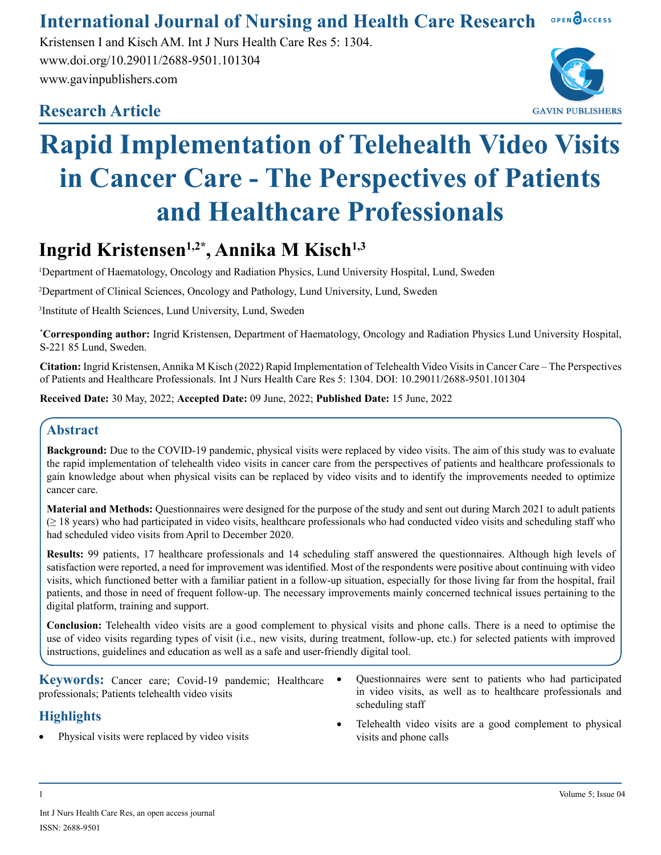#### OPEN OACCESS **International Journal of Nursing and Health Care Research**

Kristensen I and Kisch AM. Int J Nurs Health Care Res 5: 1304. www.doi.org/10.29011/2688-9501.101304 www.gavinpublishers.com

# **Research Article**



# **Rapid Implementation of Telehealth Video Visits in Cancer Care - The Perspectives of Patients and Healthcare Professionals**

# **Ingrid Kristensen1,2\*, Annika M Kisch1,3**

1 Department of Haematology, Oncology and Radiation Physics, Lund University Hospital, Lund, Sweden

2 Department of Clinical Sciences, Oncology and Pathology, Lund University, Lund, Sweden

3 Institute of Health Sciences, Lund University, Lund, Sweden

**\* Corresponding author:** Ingrid Kristensen, Department of Haematology, Oncology and Radiation Physics Lund University Hospital, S-221 85 Lund, Sweden.

**Citation:** Ingrid Kristensen, Annika M Kisch (2022) Rapid Implementation of Telehealth Video Visits in Cancer Care – The Perspectives of Patients and Healthcare Professionals. Int J Nurs Health Care Res 5: 1304. DOI: 10.29011/2688-9501.101304

**Received Date:** 30 May, 2022; **Accepted Date:** 09 June, 2022; **Published Date:** 15 June, 2022

## **Abstract**

**Background:** Due to the COVID-19 pandemic, physical visits were replaced by video visits. The aim of this study was to evaluate the rapid implementation of telehealth video visits in cancer care from the perspectives of patients and healthcare professionals to gain knowledge about when physical visits can be replaced by video visits and to identify the improvements needed to optimize cancer care.

**Material and Methods:** Questionnaires were designed for the purpose of the study and sent out during March 2021 to adult patients (≥ 18 years) who had participated in video visits, healthcare professionals who had conducted video visits and scheduling staff who had scheduled video visits from April to December 2020.

**Results:** 99 patients, 17 healthcare professionals and 14 scheduling staff answered the questionnaires. Although high levels of satisfaction were reported, a need for improvement was identified. Most of the respondents were positive about continuing with video visits, which functioned better with a familiar patient in a follow-up situation, especially for those living far from the hospital, frail patients, and those in need of frequent follow-up. The necessary improvements mainly concerned technical issues pertaining to the digital platform, training and support.

**Conclusion:** Telehealth video visits are a good complement to physical visits and phone calls. There is a need to optimise the use of video visits regarding types of visit (i.e., new visits, during treatment, follow-up, etc.) for selected patients with improved instructions, guidelines and education as well as a safe and user-friendly digital tool.

**Keywords:** Cancer care; Covid-19 pandemic; Healthcare • professionals; Patients telehealth video visits

### **Highlights**

Physical visits were replaced by video visits

- Questionnaires were sent to patients who had participated in video visits, as well as to healthcare professionals and scheduling staff
- Telehealth video visits are a good complement to physical visits and phone calls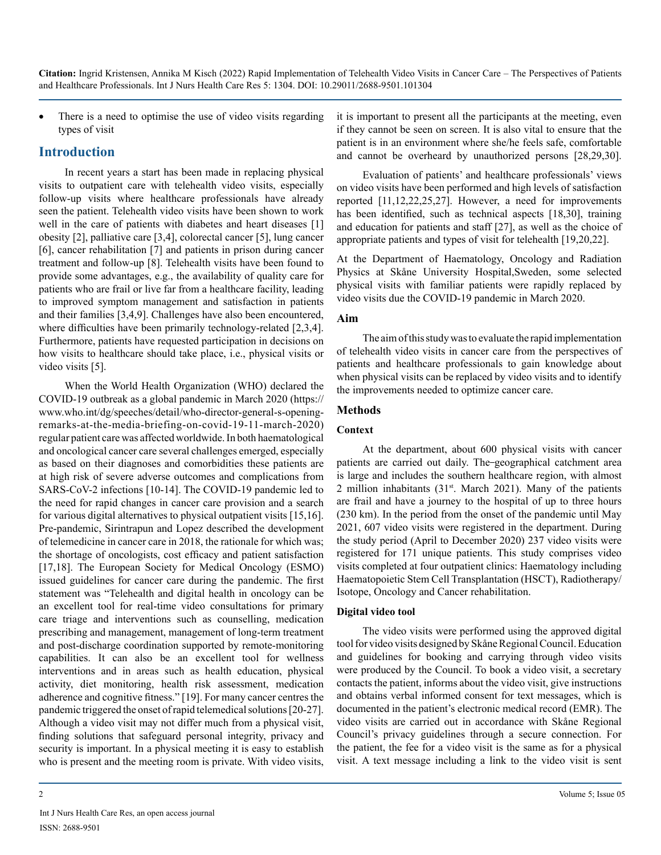There is a need to optimise the use of video visits regarding types of visit

#### **Introduction**

In recent years a start has been made in replacing physical visits to outpatient care with telehealth video visits, especially follow-up visits where healthcare professionals have already seen the patient. Telehealth video visits have been shown to work well in the care of patients with diabetes and heart diseases [1] obesity [2], palliative care [3,4], colorectal cancer [5], lung cancer [6], cancer rehabilitation [7] and patients in prison during cancer treatment and follow-up [8]. Telehealth visits have been found to provide some advantages, e.g., the availability of quality care for patients who are frail or live far from a healthcare facility, leading to improved symptom management and satisfaction in patients and their families [3,4,9]. Challenges have also been encountered, where difficulties have been primarily technology-related [2,3,4]. Furthermore, patients have requested participation in decisions on how visits to healthcare should take place, i.e., physical visits or video visits [5].

When the World Health Organization (WHO) declared the COVID-19 outbreak as a global pandemic in March 2020 [\(https://](https://www.who.int/dg/speeches/detail/who-director-general-s-opening-remarks-at-the-media-briefing-on-covid-19-11-march-2020) [www.who.int/dg/speeches/detail/who-director-general-s-opening](https://www.who.int/dg/speeches/detail/who-director-general-s-opening-remarks-at-the-media-briefing-on-covid-19-11-march-2020)[remarks-at-the-media-briefing-on-covid-19-11-march-2020\)](https://www.who.int/dg/speeches/detail/who-director-general-s-opening-remarks-at-the-media-briefing-on-covid-19-11-march-2020) regular patient care was affected worldwide. In both haematological and oncological cancer care several challenges emerged, especially as based on their diagnoses and comorbidities these patients are at high risk of severe adverse outcomes and complications from SARS-CoV-2 infections [10-14]. The COVID-19 pandemic led to the need for rapid changes in cancer care provision and a search for various digital alternatives to physical outpatient visits [15,16]. Pre-pandemic, Sirintrapun and Lopez described the development of telemedicine in cancer care in 2018, the rationale for which was; the shortage of oncologists, cost efficacy and patient satisfaction [17,18]. The European Society for Medical Oncology (ESMO) issued guidelines for cancer care during the pandemic. The first statement was "Telehealth and digital health in oncology can be an excellent tool for real-time video consultations for primary care triage and interventions such as counselling, medication prescribing and management, management of long-term treatment and post-discharge coordination supported by remote-monitoring capabilities. It can also be an excellent tool for wellness interventions and in areas such as health education, physical activity, diet monitoring, health risk assessment, medication adherence and cognitive fitness." [19]. For many cancer centres the pandemic triggered the onset of rapid telemedical solutions [20-27]. Although a video visit may not differ much from a physical visit, finding solutions that safeguard personal integrity, privacy and security is important. In a physical meeting it is easy to establish who is present and the meeting room is private. With video visits,

it is important to present all the participants at the meeting, even if they cannot be seen on screen. It is also vital to ensure that the patient is in an environment where she/he feels safe, comfortable and cannot be overheard by unauthorized persons [28,29,30].

Evaluation of patients' and healthcare professionals' views on video visits have been performed and high levels of satisfaction reported [11,12,22,25,27]. However, a need for improvements has been identified, such as technical aspects [18,30], training and education for patients and staff [27], as well as the choice of appropriate patients and types of visit for telehealth [19,20,22].

At the Department of Haematology, Oncology and Radiation Physics at Skåne University Hospital,Sweden, some selected physical visits with familiar patients were rapidly replaced by video visits due the COVID-19 pandemic in March 2020.

#### **Aim**

The aim of this study was to evaluate the rapid implementation of telehealth video visits in cancer care from the perspectives of patients and healthcare professionals to gain knowledge about when physical visits can be replaced by video visits and to identify the improvements needed to optimize cancer care.

#### **Methods**

#### **Context**

At the department, about 600 physical visits with cancer patients are carried out daily. The-geographical catchment area is large and includes the southern healthcare region, with almost 2 million inhabitants  $(31<sup>st</sup>$ . March 2021). Many of the patients are frail and have a journey to the hospital of up to three hours (230 km). In the period from the onset of the pandemic until May 2021, 607 video visits were registered in the department. During the study period (April to December 2020) 237 video visits were registered for 171 unique patients. This study comprises video visits completed at four outpatient clinics: Haematology including Haematopoietic Stem Cell Transplantation (HSCT), Radiotherapy/ Isotope, Oncology and Cancer rehabilitation.

#### **Digital video tool**

The video visits were performed using the approved digital tool for video visits designed by Skåne Regional Council. Education and guidelines for booking and carrying through video visits were produced by the Council. To book a video visit, a secretary contacts the patient, informs about the video visit, give instructions and obtains verbal informed consent for text messages, which is documented in the patient's electronic medical record (EMR). The video visits are carried out in accordance with Skåne Regional Council's privacy guidelines through a secure connection. For the patient, the fee for a video visit is the same as for a physical visit. A text message including a link to the video visit is sent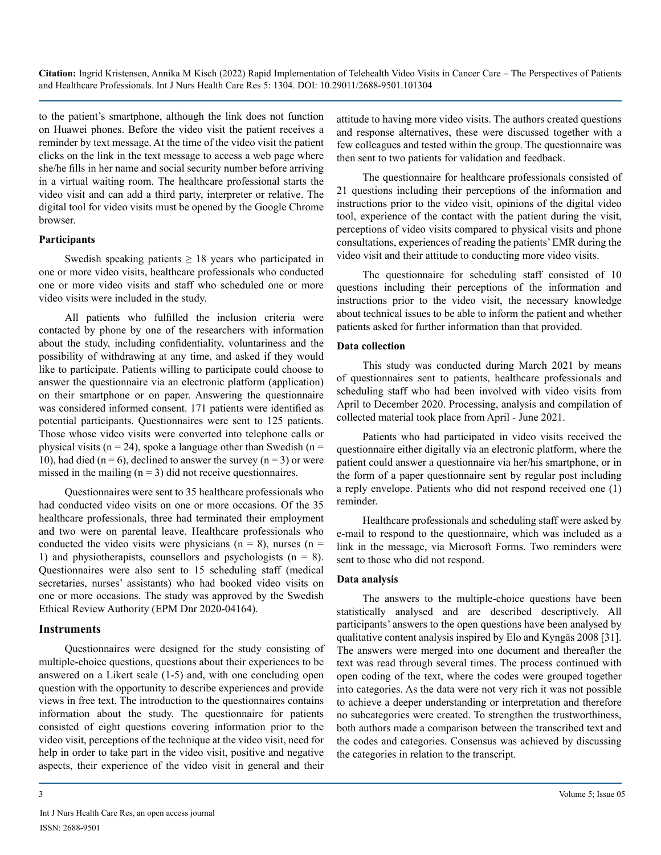to the patient's smartphone, although the link does not function on Huawei phones. Before the video visit the patient receives a reminder by text message. At the time of the video visit the patient clicks on the link in the text message to access a web page where she/he fills in her name and social security number before arriving in a virtual waiting room. The healthcare professional starts the video visit and can add a third party, interpreter or relative. The digital tool for video visits must be opened by the Google Chrome browser.

#### **Participants**

Swedish speaking patients  $\geq$  18 years who participated in one or more video visits, healthcare professionals who conducted one or more video visits and staff who scheduled one or more video visits were included in the study.

All patients who fulfilled the inclusion criteria were contacted by phone by one of the researchers with information about the study, including confidentiality, voluntariness and the possibility of withdrawing at any time, and asked if they would like to participate. Patients willing to participate could choose to answer the questionnaire via an electronic platform (application) on their smartphone or on paper. Answering the questionnaire was considered informed consent. 171 patients were identified as potential participants. Questionnaires were sent to 125 patients. Those whose video visits were converted into telephone calls or physical visits ( $n = 24$ ), spoke a language other than Swedish ( $n =$ 10), had died ( $n = 6$ ), declined to answer the survey ( $n = 3$ ) or were missed in the mailing  $(n = 3)$  did not receive questionnaires.

Questionnaires were sent to 35 healthcare professionals who had conducted video visits on one or more occasions. Of the 35 healthcare professionals, three had terminated their employment and two were on parental leave. Healthcare professionals who conducted the video visits were physicians ( $n = 8$ ), nurses ( $n =$ 1) and physiotherapists, counsellors and psychologists  $(n = 8)$ . Questionnaires were also sent to 15 scheduling staff (medical secretaries, nurses' assistants) who had booked video visits on one or more occasions. The study was approved by the Swedish Ethical Review Authority (EPM Dnr 2020-04164).

#### **Instruments**

Questionnaires were designed for the study consisting of multiple-choice questions, questions about their experiences to be answered on a Likert scale (1-5) and, with one concluding open question with the opportunity to describe experiences and provide views in free text. The introduction to the questionnaires contains information about the study. The questionnaire for patients consisted of eight questions covering information prior to the video visit, perceptions of the technique at the video visit, need for help in order to take part in the video visit, positive and negative aspects, their experience of the video visit in general and their

Int J Nurs Health Care Res, an open access journal ISSN: 2688-9501

attitude to having more video visits. The authors created questions and response alternatives, these were discussed together with a few colleagues and tested within the group. The questionnaire was then sent to two patients for validation and feedback.

The questionnaire for healthcare professionals consisted of 21 questions including their perceptions of the information and instructions prior to the video visit, opinions of the digital video tool, experience of the contact with the patient during the visit, perceptions of video visits compared to physical visits and phone consultations, experiences of reading the patients' EMR during the video visit and their attitude to conducting more video visits.

The questionnaire for scheduling staff consisted of 10 questions including their perceptions of the information and instructions prior to the video visit, the necessary knowledge about technical issues to be able to inform the patient and whether patients asked for further information than that provided.

#### **Data collection**

This study was conducted during March 2021 by means of questionnaires sent to patients, healthcare professionals and scheduling staff who had been involved with video visits from April to December 2020. Processing, analysis and compilation of collected material took place from April - June 2021.

Patients who had participated in video visits received the questionnaire either digitally via an electronic platform, where the patient could answer a questionnaire via her/his smartphone, or in the form of a paper questionnaire sent by regular post including a reply envelope. Patients who did not respond received one (1) reminder.

Healthcare professionals and scheduling staff were asked by e-mail to respond to the questionnaire, which was included as a link in the message, via Microsoft Forms. Two reminders were sent to those who did not respond.

#### **Data analysis**

The answers to the multiple-choice questions have been statistically analysed and are described descriptively. All participants' answers to the open questions have been analysed by qualitative content analysis inspired by Elo and Kyngäs 2008 [31]. The answers were merged into one document and thereafter the text was read through several times. The process continued with open coding of the text, where the codes were grouped together into categories. As the data were not very rich it was not possible to achieve a deeper understanding or interpretation and therefore no subcategories were created. To strengthen the trustworthiness, both authors made a comparison between the transcribed text and the codes and categories. Consensus was achieved by discussing the categories in relation to the transcript.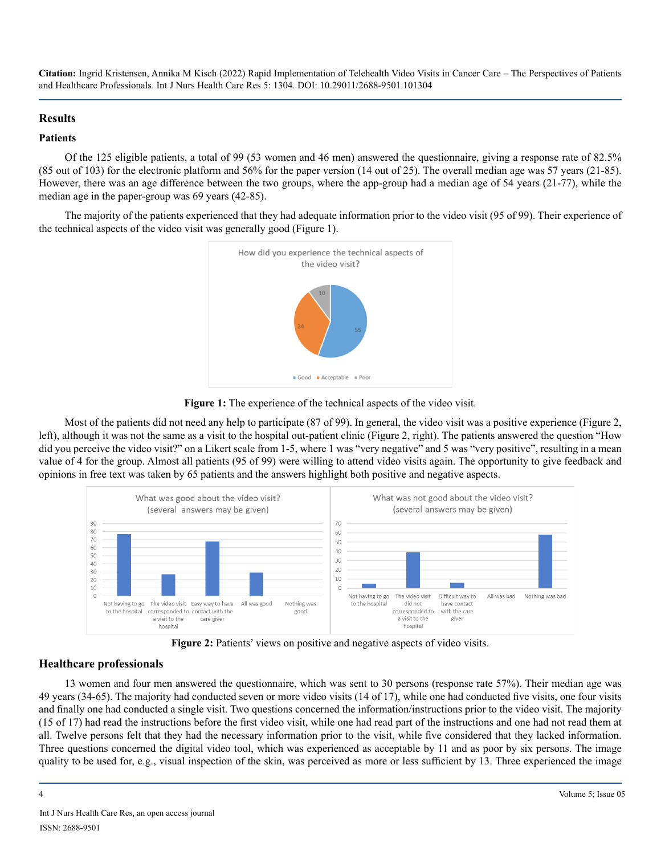#### **Results**

#### **Patients**

Of the 125 eligible patients, a total of 99 (53 women and 46 men) answered the questionnaire, giving a response rate of 82.5% (85 out of 103) for the electronic platform and 56% for the paper version (14 out of 25). The overall median age was 57 years (21-85). However, there was an age difference between the two groups, where the app-group had a median age of 54 years (21-77), while the median age in the paper-group was 69 years (42-85).

The majority of the patients experienced that they had adequate information prior to the video visit (95 of 99). Their experience of the technical aspects of the video visit was generally good (Figure 1).



Figure 1: The experience of the technical aspects of the video visit.

Most of the patients did not need any help to participate (87 of 99). In general, the video visit was a positive experience (Figure 2, left), although it was not the same as a visit to the hospital out-patient clinic (Figure 2, right). The patients answered the question "How did you perceive the video visit?" on a Likert scale from 1-5, where 1 was "very negative" and 5 was "very positive", resulting in a mean value of 4 for the group. Almost all patients (95 of 99) were willing to attend video visits again. The opportunity to give feedback and opinions in free text was taken by 65 patients and the answers highlight both positive and negative aspects.



**Figure 2:** Patients' views on positive and negative aspects of video visits.

#### **Healthcare professionals**

13 women and four men answered the questionnaire, which was sent to 30 persons (response rate 57%). Their median age was 49 years (34-65). The majority had conducted seven or more video visits (14 of 17), while one had conducted five visits, one four visits and finally one had conducted a single visit. Two questions concerned the information/instructions prior to the video visit. The majority (15 of 17) had read the instructions before the first video visit, while one had read part of the instructions and one had not read them at all. Twelve persons felt that they had the necessary information prior to the visit, while five considered that they lacked information. Three questions concerned the digital video tool, which was experienced as acceptable by 11 and as poor by six persons. The image quality to be used for, e.g., visual inspection of the skin, was perceived as more or less sufficient by 13. Three experienced the image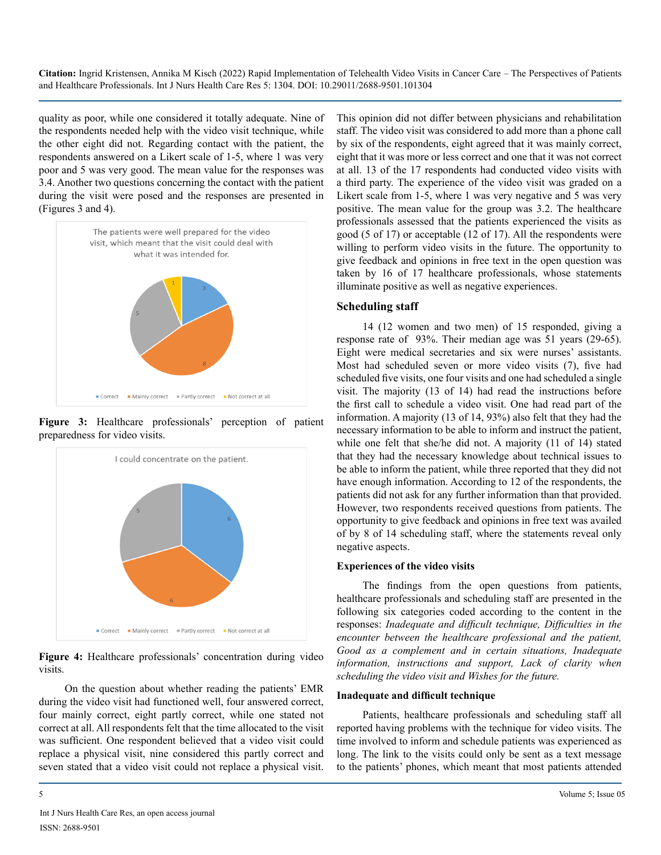quality as poor, while one considered it totally adequate. Nine of the respondents needed help with the video visit technique, while the other eight did not. Regarding contact with the patient, the respondents answered on a Likert scale of 1-5, where 1 was very poor and 5 was very good. The mean value for the responses was 3.4. Another two questions concerning the contact with the patient during the visit were posed and the responses are presented in (Figures 3 and 4).



**Figure 3:** Healthcare professionals' perception of patient preparedness for video visits.



**Figure 4:** Healthcare professionals' concentration during video visits.

On the question about whether reading the patients' EMR during the video visit had functioned well, four answered correct, four mainly correct, eight partly correct, while one stated not correct at all. All respondents felt that the time allocated to the visit was sufficient. One respondent believed that a video visit could replace a physical visit, nine considered this partly correct and seven stated that a video visit could not replace a physical visit.

This opinion did not differ between physicians and rehabilitation staff. The video visit was considered to add more than a phone call by six of the respondents, eight agreed that it was mainly correct, eight that it was more or less correct and one that it was not correct at all. 13 of the 17 respondents had conducted video visits with a third party. The experience of the video visit was graded on a Likert scale from 1-5, where 1 was very negative and 5 was very positive. The mean value for the group was 3.2. The healthcare professionals assessed that the patients experienced the visits as good (5 of 17) or acceptable (12 of 17). All the respondents were willing to perform video visits in the future. The opportunity to give feedback and opinions in free text in the open question was taken by 16 of 17 healthcare professionals, whose statements illuminate positive as well as negative experiences.

#### **Scheduling staff**

14 (12 women and two men) of 15 responded, giving a response rate of 93%. Their median age was 51 years (29-65). Eight were medical secretaries and six were nurses' assistants. Most had scheduled seven or more video visits (7), five had scheduled five visits, one four visits and one had scheduled a single visit. The majority (13 of 14) had read the instructions before the first call to schedule a video visit. One had read part of the information. A majority (13 of 14, 93%) also felt that they had the necessary information to be able to inform and instruct the patient, while one felt that she/he did not. A majority (11 of 14) stated that they had the necessary knowledge about technical issues to be able to inform the patient, while three reported that they did not have enough information. According to 12 of the respondents, the patients did not ask for any further information than that provided. However, two respondents received questions from patients. The opportunity to give feedback and opinions in free text was availed of by 8 of 14 scheduling staff, where the statements reveal only negative aspects.

#### **Experiences of the video visits**

The findings from the open questions from patients, healthcare professionals and scheduling staff are presented in the following six categories coded according to the content in the responses: *Inadequate and difficult technique, Difficulties in the encounter between the healthcare professional and the patient, Good as a complement and in certain situations, Inadequate information, instructions and support, Lack of clarity when scheduling the video visit and Wishes for the future.*

#### **Inadequate and difficult technique**

Patients, healthcare professionals and scheduling staff all reported having problems with the technique for video visits. The time involved to inform and schedule patients was experienced as long. The link to the visits could only be sent as a text message to the patients' phones, which meant that most patients attended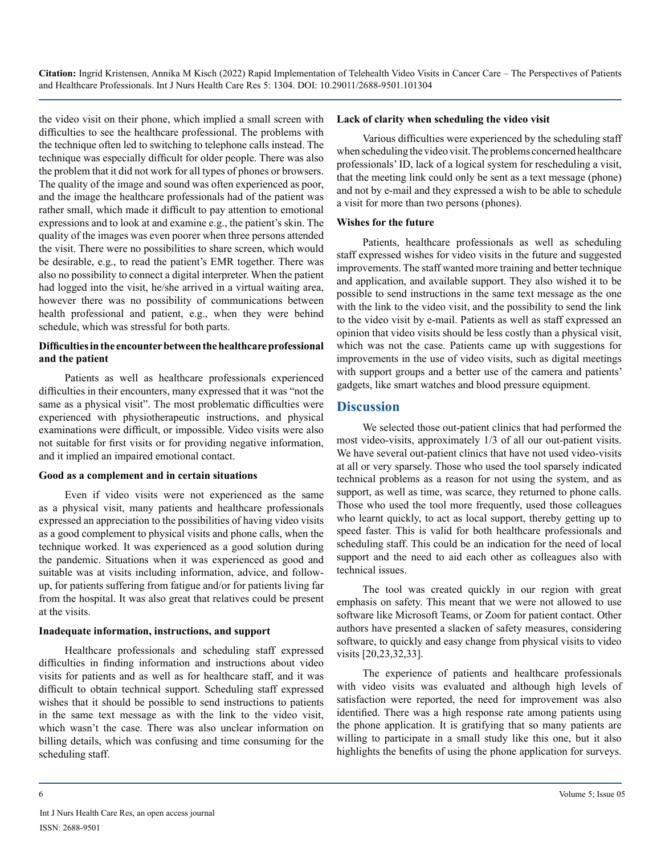the video visit on their phone, which implied a small screen with difficulties to see the healthcare professional. The problems with the technique often led to switching to telephone calls instead. The technique was especially difficult for older people. There was also the problem that it did not work for all types of phones or browsers. The quality of the image and sound was often experienced as poor, and the image the healthcare professionals had of the patient was rather small, which made it difficult to pay attention to emotional expressions and to look at and examine e.g., the patient's skin. The quality of the images was even poorer when three persons attended the visit. There were no possibilities to share screen, which would be desirable, e.g., to read the patient's EMR together. There was also no possibility to connect a digital interpreter. When the patient had logged into the visit, he/she arrived in a virtual waiting area, however there was no possibility of communications between health professional and patient, e.g., when they were behind schedule, which was stressful for both parts.

#### **Difficulties in the encounter between the healthcare professional and the patient**

Patients as well as healthcare professionals experienced difficulties in their encounters, many expressed that it was "not the same as a physical visit". The most problematic difficulties were experienced with physiotherapeutic instructions, and physical examinations were difficult, or impossible. Video visits were also not suitable for first visits or for providing negative information, and it implied an impaired emotional contact.

#### **Good as a complement and in certain situations**

Even if video visits were not experienced as the same as a physical visit, many patients and healthcare professionals expressed an appreciation to the possibilities of having video visits as a good complement to physical visits and phone calls, when the technique worked. It was experienced as a good solution during the pandemic. Situations when it was experienced as good and suitable was at visits including information, advice, and followup, for patients suffering from fatigue and/or for patients living far from the hospital. It was also great that relatives could be present at the visits.

#### **Inadequate information, instructions, and support**

Healthcare professionals and scheduling staff expressed difficulties in finding information and instructions about video visits for patients and as well as for healthcare staff, and it was difficult to obtain technical support. Scheduling staff expressed wishes that it should be possible to send instructions to patients in the same text message as with the link to the video visit, which wasn't the case. There was also unclear information on billing details, which was confusing and time consuming for the scheduling staff.

#### **Lack of clarity when scheduling the video visit**

Various difficulties were experienced by the scheduling staff when scheduling the video visit. The problems concerned healthcare professionals' ID, lack of a logical system for rescheduling a visit, that the meeting link could only be sent as a text message (phone) and not by e-mail and they expressed a wish to be able to schedule a visit for more than two persons (phones).

#### **Wishes for the future**

Patients, healthcare professionals as well as scheduling staff expressed wishes for video visits in the future and suggested improvements. The staff wanted more training and better technique and application, and available support. They also wished it to be possible to send instructions in the same text message as the one with the link to the video visit, and the possibility to send the link to the video visit by e-mail. Patients as well as staff expressed an opinion that video visits should be less costly than a physical visit, which was not the case. Patients came up with suggestions for improvements in the use of video visits, such as digital meetings with support groups and a better use of the camera and patients' gadgets, like smart watches and blood pressure equipment.

#### **Discussion**

We selected those out-patient clinics that had performed the most video-visits, approximately 1/3 of all our out-patient visits. We have several out-patient clinics that have not used video-visits at all or very sparsely. Those who used the tool sparsely indicated technical problems as a reason for not using the system, and as support, as well as time, was scarce, they returned to phone calls. Those who used the tool more frequently, used those colleagues who learnt quickly, to act as local support, thereby getting up to speed faster. This is valid for both healthcare professionals and scheduling staff. This could be an indication for the need of local support and the need to aid each other as colleagues also with technical issues.

The tool was created quickly in our region with great emphasis on safety. This meant that we were not allowed to use software like Microsoft Teams, or Zoom for patient contact. Other authors have presented a slacken of safety measures, considering software, to quickly and easy change from physical visits to video visits [20,23,32,33].

The experience of patients and healthcare professionals with video visits was evaluated and although high levels of satisfaction were reported, the need for improvement was also identified. There was a high response rate among patients using the phone application. It is gratifying that so many patients are willing to participate in a small study like this one, but it also highlights the benefits of using the phone application for surveys.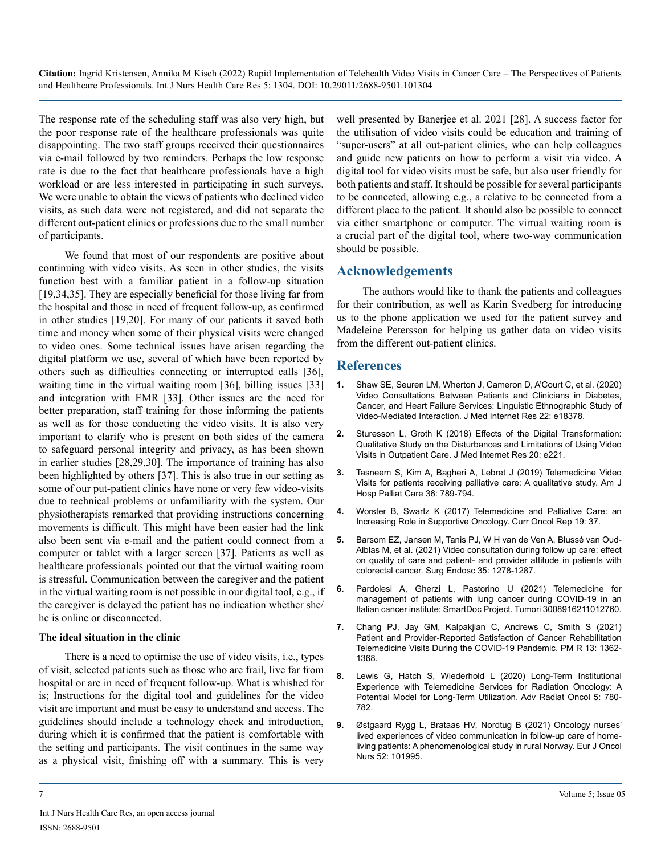The response rate of the scheduling staff was also very high, but the poor response rate of the healthcare professionals was quite disappointing. The two staff groups received their questionnaires via e-mail followed by two reminders. Perhaps the low response rate is due to the fact that healthcare professionals have a high workload or are less interested in participating in such surveys. We were unable to obtain the views of patients who declined video visits, as such data were not registered, and did not separate the different out-patient clinics or professions due to the small number of participants.

We found that most of our respondents are positive about continuing with video visits. As seen in other studies, the visits function best with a familiar patient in a follow-up situation [19,34,35]. They are especially beneficial for those living far from the hospital and those in need of frequent follow-up, as confirmed in other studies [19,20]. For many of our patients it saved both time and money when some of their physical visits were changed to video ones. Some technical issues have arisen regarding the digital platform we use, several of which have been reported by others such as difficulties connecting or interrupted calls [36], waiting time in the virtual waiting room [36], billing issues [33] and integration with EMR [33]. Other issues are the need for better preparation, staff training for those informing the patients as well as for those conducting the video visits. It is also very important to clarify who is present on both sides of the camera to safeguard personal integrity and privacy, as has been shown in earlier studies [28,29,30]. The importance of training has also been highlighted by others [37]. This is also true in our setting as some of our put-patient clinics have none or very few video-visits due to technical problems or unfamiliarity with the system. Our physiotherapists remarked that providing instructions concerning movements is difficult. This might have been easier had the link also been sent via e-mail and the patient could connect from a computer or tablet with a larger screen [37]. Patients as well as healthcare professionals pointed out that the virtual waiting room is stressful. Communication between the caregiver and the patient in the virtual waiting room is not possible in our digital tool, e.g., if the caregiver is delayed the patient has no indication whether she/ he is online or disconnected.

#### **The ideal situation in the clinic**

There is a need to optimise the use of video visits, i.e., types of visit, selected patients such as those who are frail, live far from hospital or are in need of frequent follow-up. What is whished for is; Instructions for the digital tool and guidelines for the video visit are important and must be easy to understand and access. The guidelines should include a technology check and introduction, during which it is confirmed that the patient is comfortable with the setting and participants. The visit continues in the same way as a physical visit, finishing off with a summary. This is very

well presented by Banerjee et al. 2021 [28]. A success factor for the utilisation of video visits could be education and training of "super-users" at all out-patient clinics, who can help colleagues and guide new patients on how to perform a visit via video. A digital tool for video visits must be safe, but also user friendly for both patients and staff. It should be possible for several participants to be connected, allowing e.g., a relative to be connected from a different place to the patient. It should also be possible to connect via either smartphone or computer. The virtual waiting room is a crucial part of the digital tool, where two-way communication should be possible.

#### **Acknowledgements**

The authors would like to thank the patients and colleagues for their contribution, as well as Karin Svedberg for introducing us to the phone application we used for the patient survey and Madeleine Petersson for helping us gather data on video visits from the different out-patient clinics.

#### **References**

- **1.** [Shaw SE, Seuren LM, Wherton J, Cameron D, A'Court C, et al. \(2020\)](https://pubmed.ncbi.nlm.nih.gov/32391799/)  [Video Consultations Between Patients and Clinicians in Diabetes,](https://pubmed.ncbi.nlm.nih.gov/32391799/)  [Cancer, and Heart Failure Services: Linguistic Ethnographic Study of](https://pubmed.ncbi.nlm.nih.gov/32391799/)  [Video-Mediated Interaction. J Med Internet Res 22: e18378.](https://pubmed.ncbi.nlm.nih.gov/32391799/)
- **2.** [Sturesson L, Groth K \(2018\) Effects of the Digital Transformation:](https://www.ncbi.nlm.nih.gov/pmc/articles/PMC6041556/)  [Qualitative Study on the Disturbances and Limitations of Using Video](https://www.ncbi.nlm.nih.gov/pmc/articles/PMC6041556/)  [Visits in Outpatient Care. J Med Internet Res 20: e221.](https://www.ncbi.nlm.nih.gov/pmc/articles/PMC6041556/)
- **3.** [Tasneem S, Kim A, Bagheri A, Lebret J \(2019\) Telemedicine Video](https://pubmed.ncbi.nlm.nih.gov/31064195/)  [Visits for patients receiving palliative care: A qualitative study. Am J](https://pubmed.ncbi.nlm.nih.gov/31064195/)  [Hosp Palliat Care 36: 789-794.](https://pubmed.ncbi.nlm.nih.gov/31064195/)
- **4.** [Worster B, Swartz K \(2017\) Telemedicine and Palliative Care: an](https://pubmed.ncbi.nlm.nih.gov/28417310/)  [Increasing Role in Supportive Oncology. Curr Oncol Rep 19: 37.](https://pubmed.ncbi.nlm.nih.gov/28417310/)
- **5.** [Barsom EZ, Jansen M, Tanis PJ, W H van de Ven A, Blussé van Oud-](https://pubmed.ncbi.nlm.nih.gov/32198552/)[Alblas M, et al. \(2021\) Video consultation during follow up care: effect](https://pubmed.ncbi.nlm.nih.gov/32198552/)  [on quality of care and patient- and provider attitude in patients with](https://pubmed.ncbi.nlm.nih.gov/32198552/)  [colorectal cancer. Surg Endosc 35: 1278-1287.](https://pubmed.ncbi.nlm.nih.gov/32198552/)
- **6.** [Pardolesi A, Gherzi L, Pastorino U \(2021\) Telemedicine for](https://pubmed.ncbi.nlm.nih.gov/33971749/)  [management of patients with lung cancer during COVID-19 in an](https://pubmed.ncbi.nlm.nih.gov/33971749/)  [Italian cancer institute: SmartDoc Project. Tumori 3008916211012760.](https://pubmed.ncbi.nlm.nih.gov/33971749/)
- **7.** [Chang PJ, Jay GM, Kalpakjian C,](https://pubmed.ncbi.nlm.nih.gov/33455066/) Andrews C, Smith S (2021) [Patient and Provider-Reported Satisfaction of Cancer Rehabilitation](https://pubmed.ncbi.nlm.nih.gov/33455066/)  [Telemedicine Visits During the COVID-19 Pandemic. PM R 13: 1362-](https://pubmed.ncbi.nlm.nih.gov/33455066/) [1368.](https://pubmed.ncbi.nlm.nih.gov/33455066/)
- **8.** [Lewis G, Hatch S, Wiederhold L \(2020\) Long-Term Institutional](https://www.ncbi.nlm.nih.gov/pmc/articles/PMC7205717/)  [Experience with Telemedicine Services for Radiation Oncology: A](https://www.ncbi.nlm.nih.gov/pmc/articles/PMC7205717/)  [Potential Model for Long-Term Utilization. Adv Radiat Oncol 5: 780-](https://www.ncbi.nlm.nih.gov/pmc/articles/PMC7205717/) [782.](https://www.ncbi.nlm.nih.gov/pmc/articles/PMC7205717/)
- **9.** [Østgaard Rygg L, Brataas HV, Nordtug B \(2021\) Oncology nurses'](https://pubmed.ncbi.nlm.nih.gov/33906054/) [lived experiences of video communication in follow-up care of home](https://pubmed.ncbi.nlm.nih.gov/33906054/)[living patients: A phenomenological study in rural Norway. Eur J Oncol](https://pubmed.ncbi.nlm.nih.gov/33906054/) [Nurs 52: 101995.](https://pubmed.ncbi.nlm.nih.gov/33906054/)